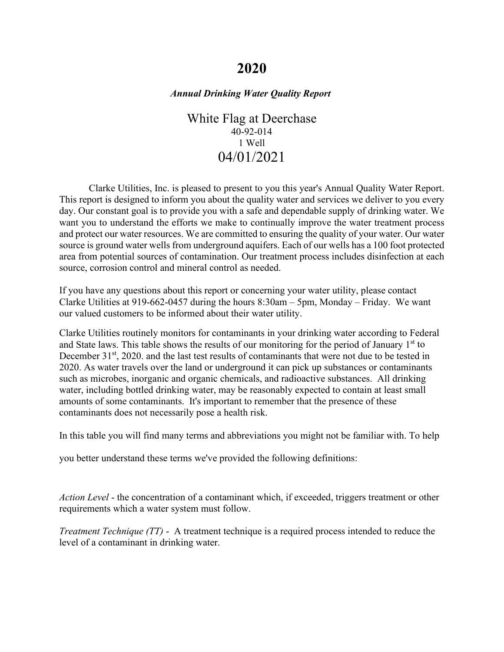# **2020**

### *Annual Drinking Water Quality Report*

White Flag at Deerchase 40-92-014 1 Well 04/01/2021

Clarke Utilities, Inc. is pleased to present to you this year's Annual Quality Water Report. This report is designed to inform you about the quality water and services we deliver to you every day. Our constant goal is to provide you with a safe and dependable supply of drinking water. We want you to understand the efforts we make to continually improve the water treatment process and protect our water resources. We are committed to ensuring the quality of your water. Our water source is ground water wells from underground aquifers. Each of our wells has a 100 foot protected area from potential sources of contamination. Our treatment process includes disinfection at each source, corrosion control and mineral control as needed.

If you have any questions about this report or concerning your water utility, please contact Clarke Utilities at 919-662-0457 during the hours 8:30am – 5pm, Monday – Friday. We want our valued customers to be informed about their water utility.

Clarke Utilities routinely monitors for contaminants in your drinking water according to Federal and State laws. This table shows the results of our monitoring for the period of January  $1<sup>st</sup>$  to December 31<sup>st</sup>, 2020. and the last test results of contaminants that were not due to be tested in 2020. As water travels over the land or underground it can pick up substances or contaminants such as microbes, inorganic and organic chemicals, and radioactive substances. All drinking water, including bottled drinking water, may be reasonably expected to contain at least small amounts of some contaminants. It's important to remember that the presence of these contaminants does not necessarily pose a health risk.

In this table you will find many terms and abbreviations you might not be familiar with. To help

you better understand these terms we've provided the following definitions:

*Action Level* - the concentration of a contaminant which, if exceeded, triggers treatment or other requirements which a water system must follow.

*Treatment Technique (TT)* - A treatment technique is a required process intended to reduce the level of a contaminant in drinking water.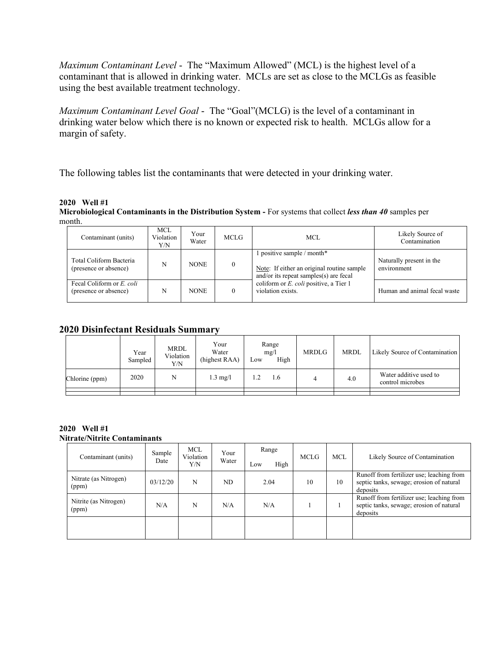*Maximum Contaminant Level* - The "Maximum Allowed" (MCL) is the highest level of a contaminant that is allowed in drinking water. MCLs are set as close to the MCLGs as feasible using the best available treatment technology.

*Maximum Contaminant Level Goal* - The "Goal"(MCLG) is the level of a contaminant in drinking water below which there is no known or expected risk to health. MCLGs allow for a margin of safety.

The following tables list the contaminants that were detected in your drinking water.

#### **2020 Well #1**

**Microbiological Contaminants in the Distribution System -** For systems that collect *less than 40* samples per month.

| Contaminant (units)                                | <b>MCL</b><br>Violation<br>Y/N | Your<br>Water | <b>MCLG</b> | MCL.                                                                                                                  | Likely Source of<br>Contamination       |
|----------------------------------------------------|--------------------------------|---------------|-------------|-----------------------------------------------------------------------------------------------------------------------|-----------------------------------------|
| Total Coliform Bacteria<br>(presence or absence)   | N                              | <b>NONE</b>   |             | 1 positive sample / month*<br>Note: If either an original routine sample<br>and/or its repeat samples $(s)$ are fecal | Naturally present in the<br>environment |
| Fecal Coliform or E. coli<br>(presence or absence) | N                              | <b>NONE</b>   |             | coliform or E. coli positive, a Tier 1<br>violation exists.                                                           | Human and animal fecal waste            |

## **2020 Disinfectant Residuals Summary**

|                | Year<br>Sampled | <b>MRDL</b><br>Violation<br>Y/N | Your<br>Water<br>(highest RAA) | Range<br>mg/l<br>High<br>Low | <b>MRDLG</b> | <b>MRDL</b> | Likely Source of Contamination             |
|----------------|-----------------|---------------------------------|--------------------------------|------------------------------|--------------|-------------|--------------------------------------------|
| Chlorine (ppm) | 2020            | N                               | $1.3 \text{ mg/l}$             | 1.6<br>1.2                   |              | 4.0         | Water additive used to<br>control microbes |
|                |                 |                                 |                                |                              |              |             |                                            |

#### **2020 Well #1 Nitrate/Nitrite Contaminants**

| Contaminant (units)            | Sample<br>Date | <b>MCL</b><br>Violation<br>Y/N | Your<br>Water | Range<br>High<br>Low | <b>MCLG</b> | <b>MCL</b> | Likely Source of Contamination                                                                    |
|--------------------------------|----------------|--------------------------------|---------------|----------------------|-------------|------------|---------------------------------------------------------------------------------------------------|
| Nitrate (as Nitrogen)<br>(ppm) | 03/12/20       | N                              | ND            | 2.04                 | 10          | 10         | Runoff from fertilizer use; leaching from<br>septic tanks, sewage; erosion of natural<br>deposits |
| Nitrite (as Nitrogen)<br>(ppm) | N/A            | N                              | N/A           | N/A                  |             |            | Runoff from fertilizer use; leaching from<br>septic tanks, sewage; erosion of natural<br>deposits |
|                                |                |                                |               |                      |             |            |                                                                                                   |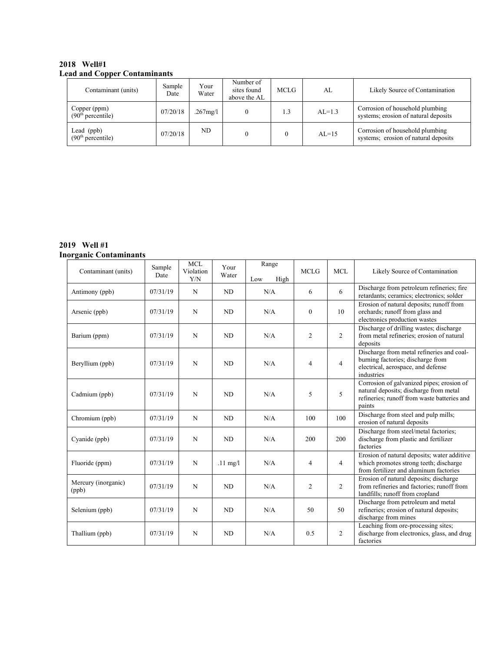#### **2018 Well#1 Lead and Copper Contaminants**

| Contaminant (units)                           | Sample<br>Date | Your<br>Water | Number of<br>sites found<br>above the AL | <b>MCLG</b> | AL       | Likely Source of Contamination                                          |
|-----------------------------------------------|----------------|---------------|------------------------------------------|-------------|----------|-------------------------------------------------------------------------|
| Copper (ppm)<br>(90 <sup>th</sup> percentile) | 07/20/18       | $.267$ mg/l   |                                          |             | $AL=1.3$ | Corrosion of household plumbing<br>systems; erosion of natural deposits |
| Lead (ppb)<br>(90 <sup>th</sup> percentile)   | 07/20/18       | ND.           |                                          |             | $AL=15$  | Corrosion of household plumbing<br>systems; erosion of natural deposits |

#### **2019 Well #1 Inorganic Contaminants**

| Contaminant (units)          | Sample<br>Date | <b>MCL</b><br>Violation<br>Y/N | Your<br>Water      | Range<br>Low<br>High | <b>MCLG</b>    | <b>MCL</b>     | Likely Source of Contamination                                                                                                               |
|------------------------------|----------------|--------------------------------|--------------------|----------------------|----------------|----------------|----------------------------------------------------------------------------------------------------------------------------------------------|
| Antimony (ppb)               | 07/31/19       | N                              | ND                 | N/A                  | 6              | 6              | Discharge from petroleum refineries; fire<br>retardants; ceramics; electronics; solder                                                       |
| Arsenic (ppb)                | 07/31/19       | N                              | ND                 | N/A                  | $\mathbf{0}$   | 10             | Erosion of natural deposits; runoff from<br>orchards; runoff from glass and<br>electronics production wastes                                 |
| Barium (ppm)                 | 07/31/19       | N                              | ND                 | N/A                  | $\overline{2}$ | $\overline{2}$ | Discharge of drilling wastes; discharge<br>from metal refineries; erosion of natural<br>deposits                                             |
| Beryllium (ppb)              | 07/31/19       | N                              | ND                 | N/A                  | $\overline{4}$ | $\overline{4}$ | Discharge from metal refineries and coal-<br>burning factories; discharge from<br>electrical, aerospace, and defense<br>industries           |
| Cadmium (ppb)                | 07/31/19       | N                              | ND                 | N/A                  | 5              | 5              | Corrosion of galvanized pipes; erosion of<br>natural deposits; discharge from metal<br>refineries; runoff from waste batteries and<br>paints |
| Chromium (ppb)               | 07/31/19       | N                              | ND                 | N/A                  | 100            | 100            | Discharge from steel and pulp mills;<br>erosion of natural deposits                                                                          |
| Cyanide (ppb)                | 07/31/19       | N                              | ND                 | N/A                  | 200            | 200            | Discharge from steel/metal factories;<br>discharge from plastic and fertilizer<br>factories                                                  |
| Fluoride (ppm)               | 07/31/19       | N                              | $.11 \text{ mg}/l$ | N/A                  | $\overline{4}$ | 4              | Erosion of natural deposits; water additive<br>which promotes strong teeth; discharge<br>from fertilizer and aluminum factories              |
| Mercury (inorganic)<br>(ppb) | 07/31/19       | N                              | ND                 | N/A                  | $\overline{2}$ | $\overline{2}$ | Erosion of natural deposits; discharge<br>from refineries and factories; runoff from<br>landfills; runoff from cropland                      |
| Selenium (ppb)               | 07/31/19       | N                              | <b>ND</b>          | N/A                  | 50             | 50             | Discharge from petroleum and metal<br>refineries; erosion of natural deposits;<br>discharge from mines                                       |
| Thallium (ppb)               | 07/31/19       | N                              | ND                 | N/A                  | 0.5            | $\overline{2}$ | Leaching from ore-processing sites;<br>discharge from electronics, glass, and drug<br>factories                                              |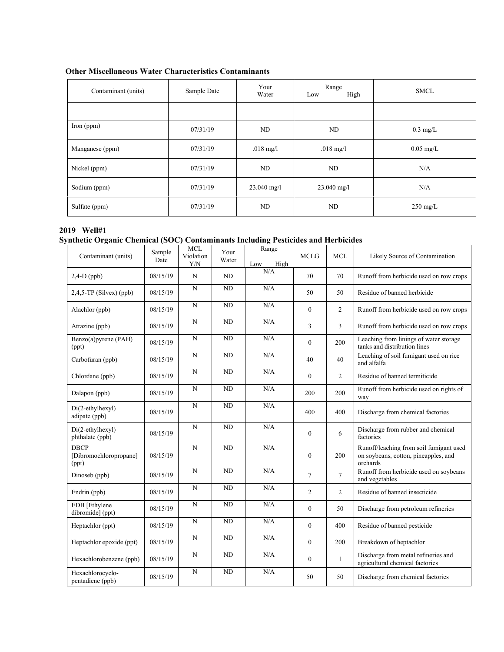| Contaminant (units) | Sample Date | Your<br>Water       | Range<br>High<br>Low | <b>SMCL</b>         |
|---------------------|-------------|---------------------|----------------------|---------------------|
|                     |             |                     |                      |                     |
| Iron $(ppm)$        | 07/31/19    | ND                  | ND                   | $0.3 \text{ mg/L}$  |
| Manganese (ppm)     | 07/31/19    | $.018 \text{ mg}/1$ | $.018$ mg/l          | $0.05 \text{ mg/L}$ |
| Nickel (ppm)        | 07/31/19    | ND                  | ND                   | N/A                 |
| Sodium (ppm)        | 07/31/19    | $23.040$ mg/l       | $23.040$ mg/l        | N/A                 |
| Sulfate (ppm)       | 07/31/19    | ND                  | ND                   | $250 \text{ mg/L}$  |

#### **Other Miscellaneous Water Characteristics Contaminants**

#### **2019 Well#1 Synthetic Organic Chemical (SOC) Contaminants Including Pesticides and Herbicides**

| Contaminant (units)                            | Sample<br>Date | <b>MCL</b><br>Violation<br>Y/N | Your<br>Water | Range<br>Low<br>High | <b>MCLG</b>    | <b>MCL</b>     | Likely Source of Contamination                                                              |
|------------------------------------------------|----------------|--------------------------------|---------------|----------------------|----------------|----------------|---------------------------------------------------------------------------------------------|
| $2,4-D$ (ppb)                                  | 08/15/19       | N                              | ND            | N/A                  | 70             | 70             | Runoff from herbicide used on row crops                                                     |
| $2,4,5$ -TP (Silvex) (ppb)                     | 08/15/19       | N                              | ND            | N/A                  | 50             | 50             | Residue of banned herbicide                                                                 |
| Alachlor (ppb)                                 | 08/15/19       | N                              | <b>ND</b>     | N/A                  | $\mathbf{0}$   | $\overline{2}$ | Runoff from herbicide used on row crops                                                     |
| Atrazine (ppb)                                 | 08/15/19       | N                              | <b>ND</b>     | N/A                  | 3              | 3              | Runoff from herbicide used on row crops                                                     |
| Benzo(a)pyrene (PAH)<br>(ppt)                  | 08/15/19       | N                              | <b>ND</b>     | N/A                  | $\mathbf{0}$   | 200            | Leaching from linings of water storage<br>tanks and distribution lines                      |
| Carbofuran (ppb)                               | 08/15/19       | N                              | <b>ND</b>     | N/A                  | 40             | 40             | Leaching of soil fumigant used on rice<br>and alfalfa                                       |
| Chlordane (ppb)                                | 08/15/19       | N                              | <b>ND</b>     | N/A                  | $\mathbf{0}$   | $\overline{2}$ | Residue of banned termiticide                                                               |
| Dalapon (ppb)                                  | 08/15/19       | N                              | <b>ND</b>     | N/A                  | 200            | 200            | Runoff from herbicide used on rights of<br>way                                              |
| Di(2-ethylhexyl)<br>adipate (ppb)              | 08/15/19       | N                              | <b>ND</b>     | N/A                  | 400            | 400            | Discharge from chemical factories                                                           |
| Di(2-ethylhexyl)<br>phthalate (ppb)            | 08/15/19       | N                              | <b>ND</b>     | N/A                  | $\mathbf{0}$   | 6              | Discharge from rubber and chemical<br>factories                                             |
| <b>DBCP</b><br>[Dibromochloropropane]<br>(ppt) | 08/15/19       | $\overline{N}$                 | <b>ND</b>     | N/A                  | $\mathbf{0}$   | 200            | Runoff/leaching from soil fumigant used<br>on soybeans, cotton, pineapples, and<br>orchards |
| Dinoseb (ppb)                                  | 08/15/19       | N                              | <b>ND</b>     | N/A                  | $\overline{7}$ | $\overline{7}$ | Runoff from herbicide used on soybeans<br>and vegetables                                    |
| Endrin (ppb)                                   | 08/15/19       | $\mathbf N$                    | ND            | N/A                  | $\overline{2}$ | 2              | Residue of banned insecticide                                                               |
| EDB [Ethylene<br>dibromide] (ppt)              | 08/15/19       | N                              | <b>ND</b>     | N/A                  | $\mathbf{0}$   | 50             | Discharge from petroleum refineries                                                         |
| Heptachlor (ppt)                               | 08/15/19       | N                              | <b>ND</b>     | N/A                  | $\mathbf{0}$   | 400            | Residue of banned pesticide                                                                 |
| Heptachlor epoxide (ppt)                       | 08/15/19       | N                              | ND            | N/A                  | $\mathbf{0}$   | 200            | Breakdown of heptachlor                                                                     |
| Hexachlorobenzene (ppb)                        | 08/15/19       | N                              | ND            | N/A                  | $\mathbf{0}$   | $\mathbf{1}$   | Discharge from metal refineries and<br>agricultural chemical factories                      |
| Hexachlorocyclo-<br>pentadiene (ppb)           | 08/15/19       | N                              | <b>ND</b>     | N/A                  | 50             | 50             | Discharge from chemical factories                                                           |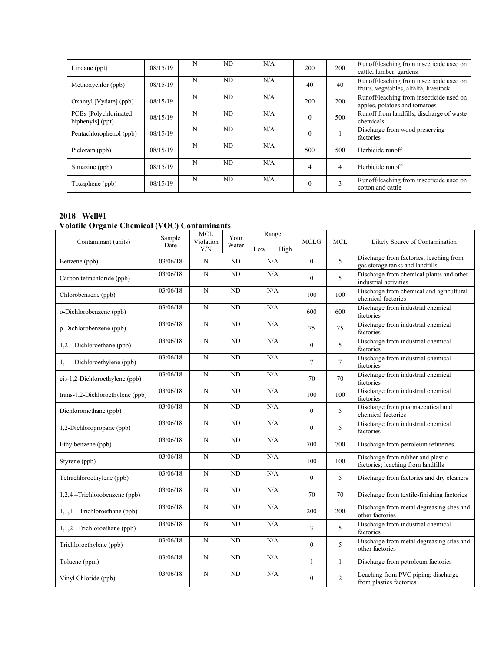| Lindane (ppt)                              | 08/15/19 | N | ND. | N/A | 200      | 200            | Runoff/leaching from insecticide used on<br>cattle, lumber, gardens                |
|--------------------------------------------|----------|---|-----|-----|----------|----------------|------------------------------------------------------------------------------------|
| Methoxychlor (ppb)                         | 08/15/19 | N | ND  | N/A | 40       | 40             | Runoff/leaching from insecticide used on<br>fruits, vegetables, alfalfa, livestock |
| Oxamyl [Vydate] (ppb)                      | 08/15/19 | N | ND  | N/A | 200      | 200            | Runoff/leaching from insecticide used on<br>apples, potatoes and tomatoes          |
| PCBs [Polychlorinated]<br>biphenyls] (ppt) | 08/15/19 | N | ND. | N/A | $\Omega$ | 500            | Runoff from landfills; discharge of waste<br>chemicals                             |
| Pentachlorophenol (ppb)                    | 08/15/19 | N | ND  | N/A |          |                | Discharge from wood preserving<br>factories                                        |
| Picloram (ppb)                             | 08/15/19 | N | ND  | N/A | 500      | 500            | Herbicide runoff                                                                   |
| Simazine (ppb)                             | 08/15/19 | N | ND  | N/A | 4        | $\overline{4}$ | Herbicide runoff                                                                   |
| Toxaphene (ppb)                            | 08/15/19 | N | ND  | N/A | $\theta$ | 3              | Runoff/leaching from insecticide used on<br>cotton and cattle                      |

#### **2018 Well#1**

# **Volatile Organic Chemical (VOC) Contaminants**

| Contaminant (units)               | Sample<br>Date | <b>MCL</b><br>Violation<br>Y/N | Your<br>Water   | Range<br>Low<br>High | <b>MCLG</b>  | <b>MCL</b>   | Likely Source of Contamination                                             |
|-----------------------------------|----------------|--------------------------------|-----------------|----------------------|--------------|--------------|----------------------------------------------------------------------------|
| Benzene (ppb)                     | 03/06/18       | N                              | ND              | N/A                  | $\mathbf{0}$ | 5            | Discharge from factories; leaching from<br>gas storage tanks and landfills |
| Carbon tetrachloride (ppb)        | 03/06/18       | N                              | ND              | N/A                  | $\mathbf{0}$ | 5            | Discharge from chemical plants and other<br>industrial activities          |
| Chlorobenzene (ppb)               | 03/06/18       | $\overline{N}$                 | $\overline{ND}$ | N/A                  | 100          | 100          | Discharge from chemical and agricultural<br>chemical factories             |
| o-Dichlorobenzene (ppb)           | 03/06/18       | N                              | <b>ND</b>       | N/A                  | 600          | 600          | Discharge from industrial chemical<br>factories                            |
| p-Dichlorobenzene (ppb)           | 03/06/18       | N                              | ND              | N/A                  | 75           | 75           | Discharge from industrial chemical<br>factories                            |
| $1,2$ – Dichloroethane (ppb)      | 03/06/18       | N                              | ND              | N/A                  | $\mathbf{0}$ | 5            | Discharge from industrial chemical<br>factories                            |
| $1, 1$ – Dichloroethylene (ppb)   | 03/06/18       | N                              | <b>ND</b>       | N/A                  | $\tau$       | $\tau$       | Discharge from industrial chemical<br>factories                            |
| $cis-1,2-Dichloroethylene (ppb)$  | 03/06/18       | $\mathbf N$                    | ND              | $\rm N/A$            | 70           | 70           | Discharge from industrial chemical<br>factories                            |
| trans-1,2-Dichloroethylene (ppb)  | 03/06/18       | $\overline{N}$                 | ND              | N/A                  | 100          | 100          | Discharge from industrial chemical<br>factories                            |
| Dichloromethane (ppb)             | 03/06/18       | N                              | ND              | N/A                  | $\theta$     | 5            | Discharge from pharmaceutical and<br>chemical factories                    |
| 1,2-Dichloropropane (ppb)         | 03/06/18       | N                              | ND              | N/A                  | $\mathbf{0}$ | 5            | Discharge from industrial chemical<br>factories                            |
| Ethylbenzene (ppb)                | 03/06/18       | N                              | ND              | N/A                  | 700          | 700          | Discharge from petroleum refineries                                        |
| Styrene (ppb)                     | 03/06/18       | $\mathbf N$                    | <b>ND</b>       | N/A                  | 100          | 100          | Discharge from rubber and plastic<br>factories; leaching from landfills    |
| Tetrachloroethylene (ppb)         | 03/06/18       | N                              | <b>ND</b>       | N/A                  | $\mathbf{0}$ | 5            | Discharge from factories and dry cleaners                                  |
| 1,2,4 -Trichlorobenzene (ppb)     | 03/06/18       | $\overline{N}$                 | <b>ND</b>       | N/A                  | 70           | 70           | Discharge from textile-finishing factories                                 |
| $1, 1, 1$ – Trichloroethane (ppb) | 03/06/18       | $\overline{N}$                 | $\overline{ND}$ | N/A                  | 200          | 200          | Discharge from metal degreasing sites and<br>other factories               |
| $1,1,2$ –Trichloroethane (ppb)    | 03/06/18       | N                              | ND              | $\rm N/A$            | 3            | 5            | Discharge from industrial chemical<br>factories                            |
| Trichloroethylene (ppb)           | 03/06/18       | N                              | ND              | N/A                  | $\theta$     | 5            | Discharge from metal degreasing sites and<br>other factories               |
| Toluene (ppm)                     | 03/06/18       | ${\bf N}$                      | ND              | $\rm N/A$            | $\mathbf{1}$ | $\mathbf{1}$ | Discharge from petroleum factories                                         |
| Vinyl Chloride (ppb)              | 03/06/18       | N                              | ND              | N/A                  | $\mathbf{0}$ | 2            | Leaching from PVC piping; discharge<br>from plastics factories             |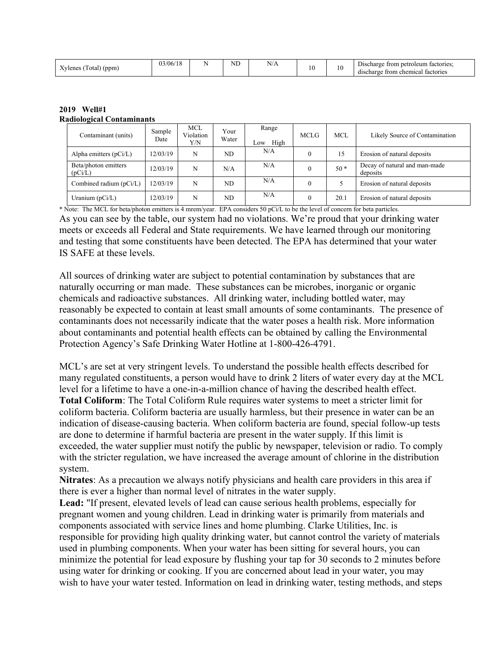| (ppm)<br>otal<br>.vlenes | $-1$<br>03/06/18 |  | <b>IT</b><br>◥ | N/A | $\sim$<br>1 <sub>0</sub><br>$\sim$ | 0 | --<br>netroleum factories:<br>Discharge<br>trom<br>i chemical<br>factories<br>discharge<br><b>Trom</b> |
|--------------------------|------------------|--|----------------|-----|------------------------------------|---|--------------------------------------------------------------------------------------------------------|
|--------------------------|------------------|--|----------------|-----|------------------------------------|---|--------------------------------------------------------------------------------------------------------|

| 2019 Well#1                      |
|----------------------------------|
| <b>Radiological Contaminants</b> |

| Contaminant (units)             | Sample<br>Date | <b>MCL</b><br>Violation<br>Y/N | Your<br>Water | Range<br>High<br>Low | <b>MCLG</b> | <b>MCL</b> | Likely Source of Contamination            |
|---------------------------------|----------------|--------------------------------|---------------|----------------------|-------------|------------|-------------------------------------------|
| Alpha emitters $(pCi/L)$        | 12/03/19       | N                              | ND            | N/A                  |             | 15         | Erosion of natural deposits               |
| Beta/photon emitters<br>(pCi/L) | 12/03/19       | N                              | N/A           | N/A                  |             | $50*$      | Decay of natural and man-made<br>deposits |
| Combined radium (pCi/L)         | 12/03/19       | N                              | ND            | N/A                  |             |            | Erosion of natural deposits               |
| Uranium $(pCi/L)$               | 12/03/19       | N                              | ND.           | N/A                  |             | 20.1       | Erosion of natural deposits               |

\* Note: The MCL for beta/photon emitters is 4 mrem/year. EPA considers 50 pCi/L to be the level of concern for beta particles. As you can see by the table, our system had no violations. We're proud that your drinking water meets or exceeds all Federal and State requirements. We have learned through our monitoring and testing that some constituents have been detected. The EPA has determined that your water IS SAFE at these levels.

All sources of drinking water are subject to potential contamination by substances that are naturally occurring or man made. These substances can be microbes, inorganic or organic chemicals and radioactive substances. All drinking water, including bottled water, may reasonably be expected to contain at least small amounts of some contaminants. The presence of contaminants does not necessarily indicate that the water poses a health risk. More information about contaminants and potential health effects can be obtained by calling the Environmental Protection Agency's Safe Drinking Water Hotline at 1-800-426-4791.

MCL's are set at very stringent levels. To understand the possible health effects described for many regulated constituents, a person would have to drink 2 liters of water every day at the MCL level for a lifetime to have a one-in-a-million chance of having the described health effect. **Total Coliform**: The Total Coliform Rule requires water systems to meet a stricter limit for coliform bacteria. Coliform bacteria are usually harmless, but their presence in water can be an indication of disease-causing bacteria. When coliform bacteria are found, special follow-up tests are done to determine if harmful bacteria are present in the water supply. If this limit is exceeded, the water supplier must notify the public by newspaper, television or radio. To comply with the stricter regulation, we have increased the average amount of chlorine in the distribution system.

**Nitrates**: As a precaution we always notify physicians and health care providers in this area if there is ever a higher than normal level of nitrates in the water supply.

**Lead:** "If present, elevated levels of lead can cause serious health problems, especially for pregnant women and young children. Lead in drinking water is primarily from materials and components associated with service lines and home plumbing. Clarke Utilities, Inc. is responsible for providing high quality drinking water, but cannot control the variety of materials used in plumbing components. When your water has been sitting for several hours, you can minimize the potential for lead exposure by flushing your tap for 30 seconds to 2 minutes before using water for drinking or cooking. If you are concerned about lead in your water, you may wish to have your water tested. Information on lead in drinking water, testing methods, and steps